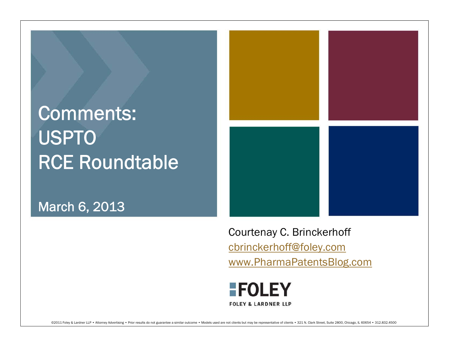## Comments: USPTO RCE Roundtable

March 6, 2013



Courtenay C. Brinckerhoff cbrinckerhoff@foley.com www.PharmaPatentsBlog.com

#### **FOLEY FOLEY & LARDNER LLP**

@2011 Foley & Lardner LLP . Attorney Advertising . Prior results do not guarantee a similar outcome . Models used are not clients but may be representative of clients . 321 N. Clark Street, Suite 2800, Chicago, IL 60654 .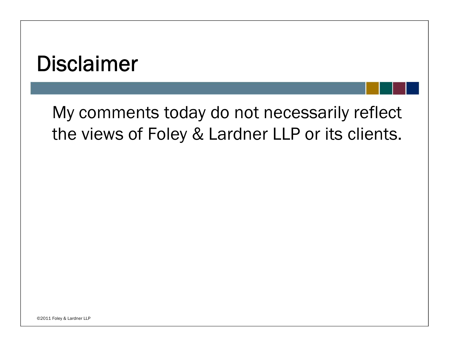### Disclaimer

My comments today do not necessarily reflect the views of Foley & Lardner LLP or its clients.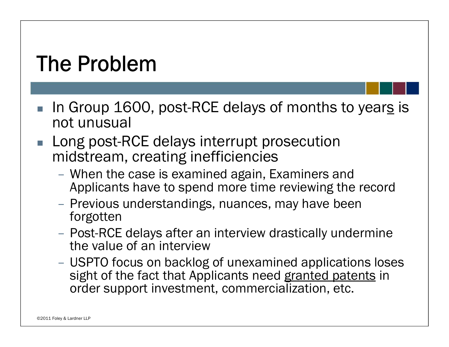# The Problem

- $\blacksquare$  In Group 1600, post-RCE delays of months to year<u>s</u> is not unusual
- $\mathbb{R}^3$  Long post-RCE delays interrupt prosecution midstream, creating inefficiencies
	- When the case is examined again, Examiners and Applicants have to spend more time reviewing the record
	- Previous understandings, nuances, may have been forgotten
	- Post-RCE delays after an interview drastically undermine the value of an interview
	- USPTO focus on backlog of unexamined applications loses sight of the fact that Applicants need granted patents in order support investment, commercialization, etc.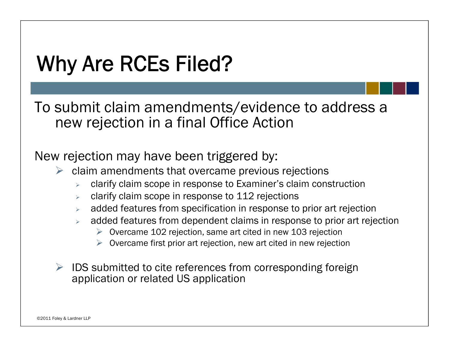# Why Are RCEs Filed?

To submit claim amendments/evidence to address a new rejection in a final Office Action

New rejection may have been triggered by:

- $\triangleright$  claim amendments that overcame previous rejections
	- $\blacktriangleright$ clarify claim scope in response to Examiner's claim construction
	- $\blacktriangleright$ clarify claim scope in response to 112 rejections
	- $\blacktriangleright$ added features from specification in response to prior art rejection
	- ⋗ added features from dependent claims in response to prior art rejection
		- $\triangleright$  Overcame 102 rejection, same art cited in new 103 rejection
		- $\triangleright$  Overcame first prior art rejection, new art cited in new rejection
- $\triangleright$  IDS submitted to cite references from corresponding foreign application or related US application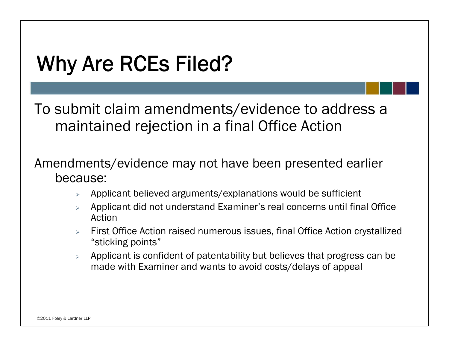## Why Are RCEs Filed?

To submit claim amendments/evidence to address a maintained rejection in a final Office Action

Amendments/evidence may not have been presented earlier because:

- $\blacktriangleright$ Applicant believed arguments/explanations would be sufficient
- $\blacktriangle$  Applicant did not understand Examiner's real concerns until final Office Action
- First Office Action raised numerous issues, final Office Action crystallized "sticking points"
- $\blacktriangleright$  Applicant is confident of patentability but believes that progress can be made with Examiner and wants to avoid costs/delays of appeal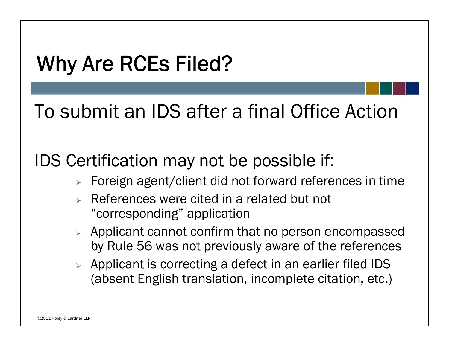# Why Are RCEs Filed?

To submit an IDS after a final Office Action

IDS Certification may not be possible if:

- $\triangleright$  Foreign agent/client did not forward references in time
- $\blacktriangleright$  References were cited in a related but not "corresponding" application
- $\triangleright$  Applicant cannot confirm that no person encompassed by Rule 56 was not previously aware of the references
- $\triangleright$  Applicant is correcting a defect in an earlier filed IDS (absent English translation, incomplete citation, etc.)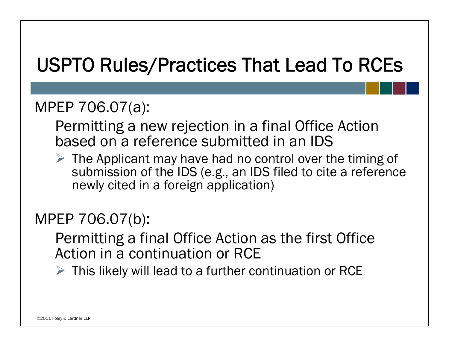### USPTO Rules/Practices That Lead To RCEs

### MPEP 706.07(a):

Permitting a new rejection in a final Office Action based on a reference submitted in an IDS

 $\triangleright$  The Applicant may have had no control over the timing of submission of the IDS (e.g., an IDS filed to cite a reference newly cited in a foreign application)

### MPEP 706.07(b):

Permitting a final Office Action as the first Office Action in a continuation or RCE

 $\triangleright$  This likely will lead to a further continuation or RCE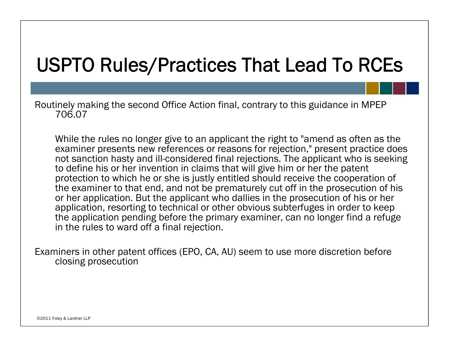### USPTO Rules/Practices That Lead To RCEs

Routinely making the second Office Action final, contrary to this guidance in MPEP 706.07

While the rules no longer give to an applicant the right to "amend as often as the examiner presents new references or reasons for rejection," present practice does not sanction hasty and ill-considered final rejections. The applicant who is seeking to define his or her invention in claims that will give him or her the patent protection to which he or she is justly entitled should receive the cooperation of the examiner to that end, and not be prematurely cut off in the prosecution of his or her application. But the applicant who dallies in the prosecution of his or her application, resorting to technical or other obvious subterfuges in order to keep the application pending before the primary examiner, can no longer find a refuge in the rules to ward off a final rejection.

Examiners in other patent offices (EPO, CA, AU) seem to use more discretion before closing prosecution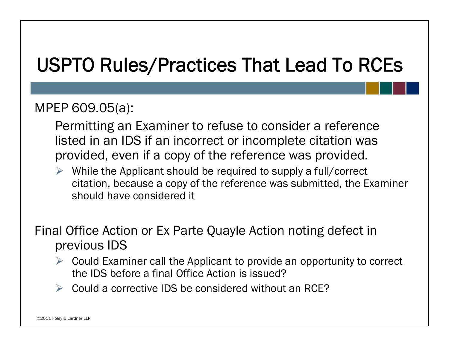### USPTO Rules/Practices That Lead To RCEs

#### MPEP 609.05(a):

- Permitting an Examiner to refuse to consider a reference listed in an IDS if an incorrect or incomplete citation was provided, even if a copy of the reference was provided.
- $\triangleright$  While the Applicant should be required to supply a full/correct citation, because a copy of the reference was submitted, the Examiner should have considered it

Final Office Action or Ex Parte Quayle Action noting defect in previous IDS

- $\triangleright$  Could Examiner call the Applicant to provide an opportunity to correct the IDS before a final Office Action is issued?
- $\triangleright$  Could a corrective IDS be considered without an RCE?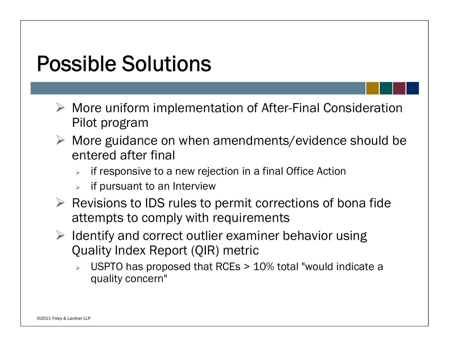## Possible Solutions

- More uniform implementation of After-Final Consideration Pilot program
- More guidance on when amendments/evidence should be entered after final
	- $\blacktriangleright$ if responsive to a new rejection in a final Office Action
	- $\blacktriangleright$ if pursuant to an Interview
- $\triangleright$  Revisions to IDS rules to permit corrections of bona fide attempts to comply with requirements
- $\triangleright$  Identify and correct outlier examiner behavior using Quality Index Report (QIR) metric
	- $\blacktriangleright$  USPTO has proposed that RCEs > 10% total "would indicate a quality concern"